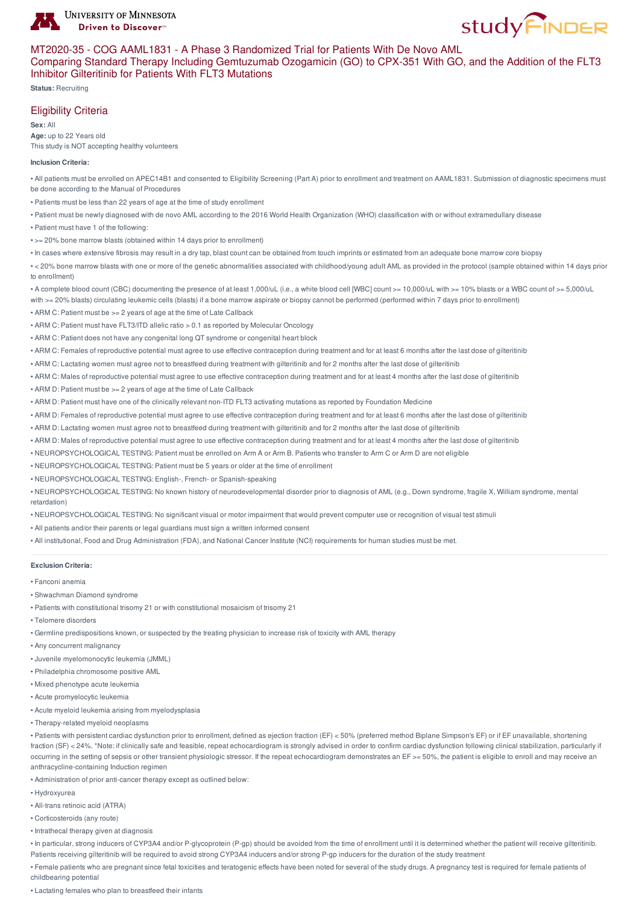



## MT2020-35 - COG AAML1831 - A Phase 3 Randomized Trial for Patients With De Novo AML

## Comparing Standard Therapy Including Gemtuzumab Ozogamicin (GO) to CPX-351 With GO, and the Addition of the FLT3 Inhibitor Gilteritinib for Patients With FLT3 Mutations

**Status:** Recruiting

# Eligibility Criteria

**Sex:** All **Age:** up to 22 Years old This study is NOT accepting healthy volunteers

#### **Inclusion Criteria:**

• All patients must be enrolled on APEC14B1 and consented to Eligibility Screening (Part A) prior to enrollment and treatment on AAML1831. Submission of diagnostic specimens must be done according to the Manual of Procedures

- Patients must be less than 22 years of age at the time of study enrollment
- Patient must be newly diagnosed with de novo AML according to the 2016 World Health Organization (WHO) classification with or without extramedullary disease
- Patient must have 1 of the following:
- >= 20% bone marrow blasts (obtained within 14 days prior to enrollment)
- In cases where extensive fibrosis may result in a dry tap, blast count can be obtained from touch imprints or estimated from an adequate bone marrow core biopsy

• < 20% bone marrow blasts with one or more of the genetic abnormalities associated with childhood/young adult AML as provided in the protocol (sample obtained within 14 days prior to enrollment)

• A complete blood count (CBC) documenting the presence of at least 1,000/uL (i.e., a white blood cell [WBC] count >= 10,000/uL with >= 10% blasts or a WBC count of >= 5,000/uL with >= 20% blasts) circulating leukemic cells (blasts) if a bone marrow aspirate or biopsy cannot be performed (performed within 7 days prior to enrollment)

- ARM C: Patient must be >= 2 years of age at the time of Late Callback
- ARM C: Patient must have FLT3/ITD allelic ratio > 0.1 as reported by Molecular Oncology
- ARM C: Patient does not have any congenital long QT syndrome or congenital heart block
- ARM C: Females of reproductive potential must agree to use effective contraception during treatment and for at least 6 months after the last dose of gilteritinib
- ARM C: Lactating women must agree not to breastfeed during treatment with gilteritinib and for 2 months after the last dose of gilteritinib
- ARM C: Males of reproductive potential must agree to use effective contraception during treatment and for at least 4 months after the last dose of gilteritinib
- ARM D: Patient must be >= 2 years of age at the time of Late Callback
- ARM D: Patient must have one of the clinically relevant non-ITD FLT3 activating mutations as reported by Foundation Medicine
- ARM D: Females of reproductive potential must agree to use effective contraception during treatment and for at least 6 months after the last dose of gilteritinib
- ARM D: Lactating women must agree not to breastfeed during treatment with gilteritinib and for 2 months after the last dose of gilteritinib
- ARM D: Males of reproductive potential must agree to use effective contraception during treatment and for at least 4 months after the last dose of gilteritinib
- NEUROPSYCHOLOGICAL TESTING: Patient must be enrolled on Arm A or Arm B. Patients who transfer to Arm C or Arm D are not eligible
- NEUROPSYCHOLOGICAL TESTING: Patient must be 5 years or older at the time of enrollment
- NEUROPSYCHOLOGICAL TESTING: English-, French- or Spanish-speaking

• NEUROPSYCHOLOGICAL TESTING: No known history of neurodevelopmental disorder prior to diagnosis of AML (e.g., Down syndrome, fragile X, William syndrome, mental retardation)

- NEUROPSYCHOLOGICAL TESTING: No significant visual or motor impairment that would prevent computer use or recognition of visual test stimuli
- All patients and/or their parents or legal guardians must sign a written informed consent
- All institutional, Food and Drug Administration (FDA), and National Cancer Institute (NCI) requirements for human studies must be met.

#### **Exclusion Criteria:**

- Fanconi anemia
- Shwachman Diamond syndrome
- Patients with constitutional trisomy 21 or with constitutional mosaicism of trisomy 21
- Telomere disorders
- Germline predispositions known, or suspected by the treating physician to increase risk of toxicity with AML therapy
- Any concurrent malignancy
- Juvenile myelomonocytic leukemia (JMML)
- Philadelphia chromosome positive AML
- Mixed phenotype acute leukemia
- Acute promyelocytic leukemia
- Acute myeloid leukemia arising from myelodysplasia
- Therapy-related myeloid neoplasms

• Patients with persistent cardiac dysfunction prior to enrollment, defined as ejection fraction (EF) < 50% (preferred method Biplane Simpson's EF) or if EF unavailable, shortening fraction (SF) < 24%. \*Note: if clinically safe and feasible, repeat echocardiogram is strongly advised in order to confirm cardiac dysfunction following clinical stabilization, particularly if occurring in the setting of sepsis or other transient physiologic stressor. If the repeat echocardiogram demonstrates an EF >= 50%, the patient is eligible to enroll and may receive an anthracycline-containing Induction regimen

- Administration of prior anti-cancer therapy except as outlined below:
- Hydroxyurea
- All-trans retinoic acid (ATRA)
- Corticosteroids (any route)
- Intrathecal therapy given at diagnosis

• In particular, strong inducers of CYP3A4 and/or P-glycoprotein (P-gp) should be avoided from the time of enrollment until it is determined whether the patient will receive gilteritinib. Patients receiving gilteritinib will be required to avoid strong CYP3A4 inducers and/or strong P-gp inducers for the duration of the study treatment

• Female patients who are pregnant since fetal toxicities and teratogenic effects have been noted for several of the study drugs. A pregnancy test is required for female patients of childbearing potential

• Lactating females who plan to breastfeed their infants